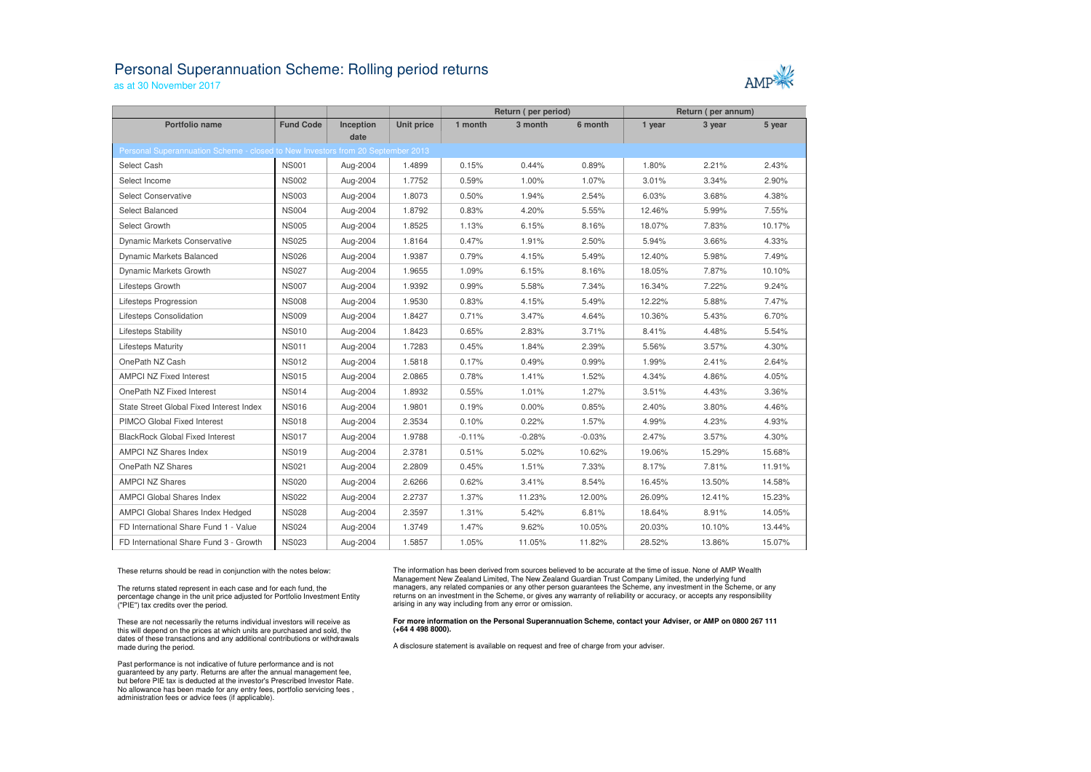## Personal Superannuation Scheme: Rolling period returns

as at 30 November 2017



|                                                                                 |                  |           |                   | Return (per period) |          |          | Return (per annum) |        |        |
|---------------------------------------------------------------------------------|------------------|-----------|-------------------|---------------------|----------|----------|--------------------|--------|--------|
| <b>Portfolio name</b>                                                           | <b>Fund Code</b> | Inception | <b>Unit price</b> | 1 month             | 3 month  | 6 month  | 1 year             | 3 year | 5 year |
| Personal Superannuation Scheme - closed to New Investors from 20 September 2013 |                  | date      |                   |                     |          |          |                    |        |        |
|                                                                                 |                  |           |                   |                     |          |          |                    |        |        |
| Select Cash                                                                     | <b>NS001</b>     | Aug-2004  | 1.4899            | 0.15%               | 0.44%    | 0.89%    | 1.80%              | 2.21%  | 2.43%  |
| Select Income                                                                   | <b>NS002</b>     | Aug-2004  | 1.7752            | 0.59%               | 1.00%    | 1.07%    | 3.01%              | 3.34%  | 2.90%  |
| Select Conservative                                                             | <b>NS003</b>     | Aug-2004  | 1.8073            | 0.50%               | 1.94%    | 2.54%    | 6.03%              | 3.68%  | 4.38%  |
| Select Balanced                                                                 | <b>NS004</b>     | Aug-2004  | 1.8792            | 0.83%               | 4.20%    | 5.55%    | 12.46%             | 5.99%  | 7.55%  |
| Select Growth                                                                   | <b>NS005</b>     | Aug-2004  | 1.8525            | 1.13%               | 6.15%    | 8.16%    | 18.07%             | 7.83%  | 10.17% |
| <b>Dynamic Markets Conservative</b>                                             | <b>NS025</b>     | Aug-2004  | 1.8164            | 0.47%               | 1.91%    | 2.50%    | 5.94%              | 3.66%  | 4.33%  |
| Dynamic Markets Balanced                                                        | <b>NS026</b>     | Aug-2004  | 1.9387            | 0.79%               | 4.15%    | 5.49%    | 12.40%             | 5.98%  | 7.49%  |
| Dynamic Markets Growth                                                          | <b>NS027</b>     | Aug-2004  | 1.9655            | 1.09%               | 6.15%    | 8.16%    | 18.05%             | 7.87%  | 10.10% |
| Lifesteps Growth                                                                | <b>NS007</b>     | Aug-2004  | 1.9392            | 0.99%               | 5.58%    | 7.34%    | 16.34%             | 7.22%  | 9.24%  |
| Lifesteps Progression                                                           | <b>NS008</b>     | Aug-2004  | 1.9530            | 0.83%               | 4.15%    | 5.49%    | 12.22%             | 5.88%  | 7.47%  |
| Lifesteps Consolidation                                                         | <b>NS009</b>     | Aug-2004  | 1.8427            | 0.71%               | 3.47%    | 4.64%    | 10.36%             | 5.43%  | 6.70%  |
| Lifesteps Stability                                                             | <b>NS010</b>     | Aug-2004  | 1.8423            | 0.65%               | 2.83%    | 3.71%    | 8.41%              | 4.48%  | 5.54%  |
| <b>Lifesteps Maturity</b>                                                       | <b>NS011</b>     | Aug-2004  | 1.7283            | 0.45%               | 1.84%    | 2.39%    | 5.56%              | 3.57%  | 4.30%  |
| OnePath NZ Cash                                                                 | <b>NS012</b>     | Aug-2004  | 1.5818            | 0.17%               | 0.49%    | 0.99%    | 1.99%              | 2.41%  | 2.64%  |
| <b>AMPCI NZ Fixed Interest</b>                                                  | <b>NS015</b>     | Aug-2004  | 2.0865            | 0.78%               | 1.41%    | 1.52%    | 4.34%              | 4.86%  | 4.05%  |
| OnePath NZ Fixed Interest                                                       | <b>NS014</b>     | Aug-2004  | 1.8932            | 0.55%               | 1.01%    | 1.27%    | 3.51%              | 4.43%  | 3.36%  |
| State Street Global Fixed Interest Index                                        | <b>NS016</b>     | Aug-2004  | 1.9801            | 0.19%               | 0.00%    | 0.85%    | 2.40%              | 3.80%  | 4.46%  |
| PIMCO Global Fixed Interest                                                     | <b>NS018</b>     | Aug-2004  | 2.3534            | 0.10%               | 0.22%    | 1.57%    | 4.99%              | 4.23%  | 4.93%  |
| <b>BlackRock Global Fixed Interest</b>                                          | <b>NS017</b>     | Aug-2004  | 1.9788            | $-0.11%$            | $-0.28%$ | $-0.03%$ | 2.47%              | 3.57%  | 4.30%  |
| AMPCI NZ Shares Index                                                           | <b>NS019</b>     | Aug-2004  | 2.3781            | 0.51%               | 5.02%    | 10.62%   | 19.06%             | 15.29% | 15.68% |
| OnePath NZ Shares                                                               | <b>NS021</b>     | Aug-2004  | 2.2809            | 0.45%               | 1.51%    | 7.33%    | 8.17%              | 7.81%  | 11.91% |
| <b>AMPCI NZ Shares</b>                                                          | <b>NS020</b>     | Aug-2004  | 2.6266            | 0.62%               | 3.41%    | 8.54%    | 16.45%             | 13.50% | 14.58% |
| <b>AMPCI Global Shares Index</b>                                                | <b>NS022</b>     | Aug-2004  | 2.2737            | 1.37%               | 11.23%   | 12.00%   | 26.09%             | 12.41% | 15.23% |
| AMPCI Global Shares Index Hedged                                                | <b>NS028</b>     | Aug-2004  | 2.3597            | 1.31%               | 5.42%    | 6.81%    | 18.64%             | 8.91%  | 14.05% |
| FD International Share Fund 1 - Value                                           | <b>NS024</b>     | Aug-2004  | 1.3749            | 1.47%               | 9.62%    | 10.05%   | 20.03%             | 10.10% | 13.44% |
| FD International Share Fund 3 - Growth                                          | <b>NS023</b>     | Aug-2004  | 1.5857            | 1.05%               | 11.05%   | 11.82%   | 28.52%             | 13.86% | 15.07% |

These returns should be read in conjunction with the notes below:

The returns stated represent in each case and for each fund, the percentage change in the unit price adjusted for Portfolio Investment Entity ("PIE") tax credits over the period.

These are not necessarily the returns individual investors will receive as this will depend on the prices at which units are purchased and sold, the dates of these transactions and any additional contributions or withdrawals made during the period.

Past performance is not indicative of future performance and is not guaranteed by any party. Returns are after the annual management fee, but before PIE tax is deducted at the investor's Prescribed Investor Rate. No allowance has been made for any entry fees, portfolio servicing fees , administration fees or advice fees (if applicable).

The information has been derived from sources believed to be accurate at the time of issue. None of AMP Wealth Management New Zealand Limited, The New Zealand Guardian Trust Company Limited, the underlying fund managers, any related companies or any other person guarantees the Scheme, any investment in the Scheme, or any returns on an investment in the Scheme, or gives any warranty of reliability or accuracy, or accepts any responsibility arising in any way including from any error or omission.

## **For more information on the Personal Superannuation Scheme, contact your Adviser, or AMP on 0800 267 111 (+64 4 498 8000).**

A disclosure statement is available on request and free of charge from your adviser.